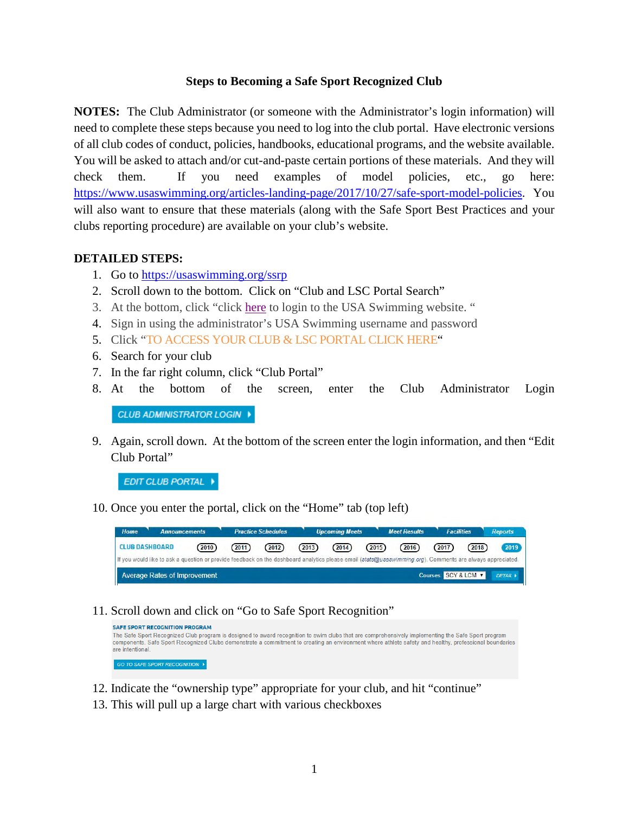## **Steps to Becoming a Safe Sport Recognized Club**

**NOTES:** The Club Administrator (or someone with the Administrator's login information) will need to complete these steps because you need to log into the club portal. Have electronic versions of all club codes of conduct, policies, handbooks, educational programs, and the website available. You will be asked to attach and/or cut-and-paste certain portions of these materials. And they will check them. If you need examples of model policies, etc., go here: <https://www.usaswimming.org/articles-landing-page/2017/10/27/safe-sport-model-policies>. You will also want to ensure that these materials (along with the Safe Sport Best Practices and your clubs reporting procedure) are available on your club's website.

## **DETAILED STEPS:**

- 1. Go to <https://usaswimming.org/ssrp>
- 2. Scroll down to the bottom. Click on "Club and LSC Portal Search"
- 3. At the bottom, click "click [here](https://www.usaswimming.org/sign-in?ReturnUrl=/utility/landing-pages/club/club-and-lsc-portal-search) to login to the USA Swimming website. "
- 4. Sign in using the administrator's USA Swimming username and password
- 5. Click ["TO ACCESS YOUR CLUB & LSC PORTAL CLICK HERE](https://www.usaswimming.org/utility/landing-pages/club/club-and-lsc-portal-search)"
- 6. Search for your club
- 7. In the far right column, click "Club Portal"
- 8. At the bottom of the screen, enter the Club Administrator Login

CLUB ADMINISTRATOR LOGIN >

9. Again, scroll down. At the bottom of the screen enter the login information, and then "Edit Club Portal"

EDIT CLUB PORTAL +

10. Once you enter the portal, click on the "Home" tab (top left)

| Home<br><b>Announcements</b>                                                                                                                              |        |        | <b>Practice Schedules</b> |        | <b>Upcoming Meets</b> |        | <b>Meet Results</b> | <b>Facilities</b>             |        | <b>Reports</b> |
|-----------------------------------------------------------------------------------------------------------------------------------------------------------|--------|--------|---------------------------|--------|-----------------------|--------|---------------------|-------------------------------|--------|----------------|
| <b>CLUB DASHBOARD</b>                                                                                                                                     | (2010) | (2011) | (2012)                    | (2013) | (2014)                | (2015) | (2016)              | (2017)                        | (2018) | 2019           |
| If you would like to ask a question or provide feedback on the dashboard analytics please email (stats@usaswimming.org). Comments are always appreciated. |        |        |                           |        |                       |        |                     |                               |        |                |
| Average Rates of Improvement                                                                                                                              |        |        |                           |        |                       |        |                     | Courses: SCY & LCM V DETAIL I |        |                |

11. Scroll down and click on "Go to Safe Sport Recognition"

| <b>SAFE SPORT RECOGNITION PROGRAM</b><br>The Safe Sport Recognized Club program is designed to award recognition to swim clubs that are comprehensively implementing the Safe Sport program<br>components. Safe Sport Recognized Clubs demonstrate a commitment to creating an environment where athlete safety and healthy, professional boundaries<br>are intentional. |
|--------------------------------------------------------------------------------------------------------------------------------------------------------------------------------------------------------------------------------------------------------------------------------------------------------------------------------------------------------------------------|
| GO TO SAFE SPORT RECOGNITION ▶                                                                                                                                                                                                                                                                                                                                           |

- 12. Indicate the "ownership type" appropriate for your club, and hit "continue"
- 13. This will pull up a large chart with various checkboxes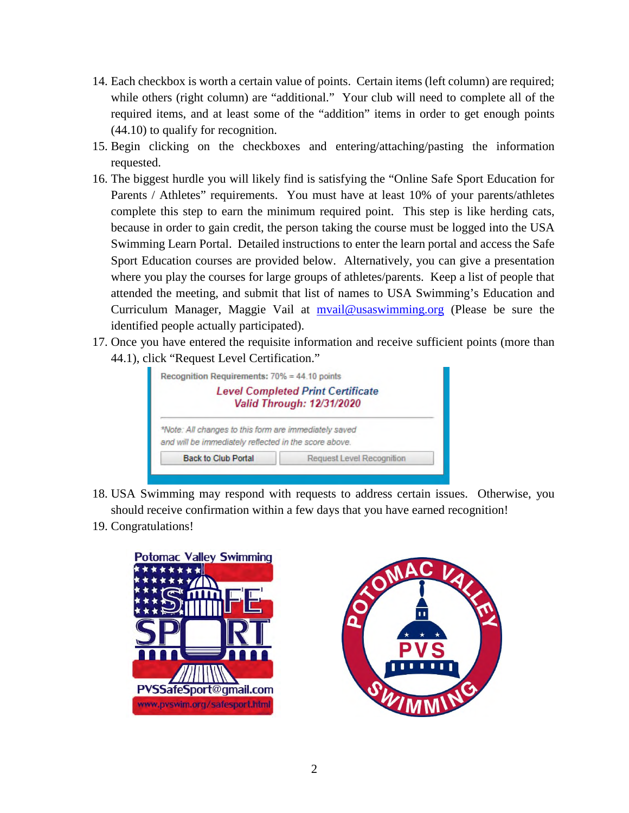- 14. Each checkbox is worth a certain value of points. Certain items (left column) are required; while others (right column) are "additional." Your club will need to complete all of the required items, and at least some of the "addition" items in order to get enough points (44.10) to qualify for recognition.
- 15. Begin clicking on the checkboxes and entering/attaching/pasting the information requested.
- 16. The biggest hurdle you will likely find is satisfying the "Online Safe Sport Education for Parents / Athletes" requirements. You must have at least 10% of your parents/athletes complete this step to earn the minimum required point. This step is like herding cats, because in order to gain credit, the person taking the course must be logged into the USA Swimming Learn Portal. Detailed instructions to enter the learn portal and access the Safe Sport Education courses are provided below. Alternatively, you can give a presentation where you play the courses for large groups of athletes/parents. Keep a list of people that attended the meeting, and submit that list of names to USA Swimming's Education and Curriculum Manager, Maggie Vail at [mvail@usaswimming.org](mailto:mvail@usaswimming.org) (Please be sure the identified people actually participated).
- 17. Once you have entered the requisite information and receive sufficient points (more than 44.1), click "Request Level Certification."



- 18. USA Swimming may respond with requests to address certain issues. Otherwise, you should receive confirmation within a few days that you have earned recognition!
- 19. Congratulations!



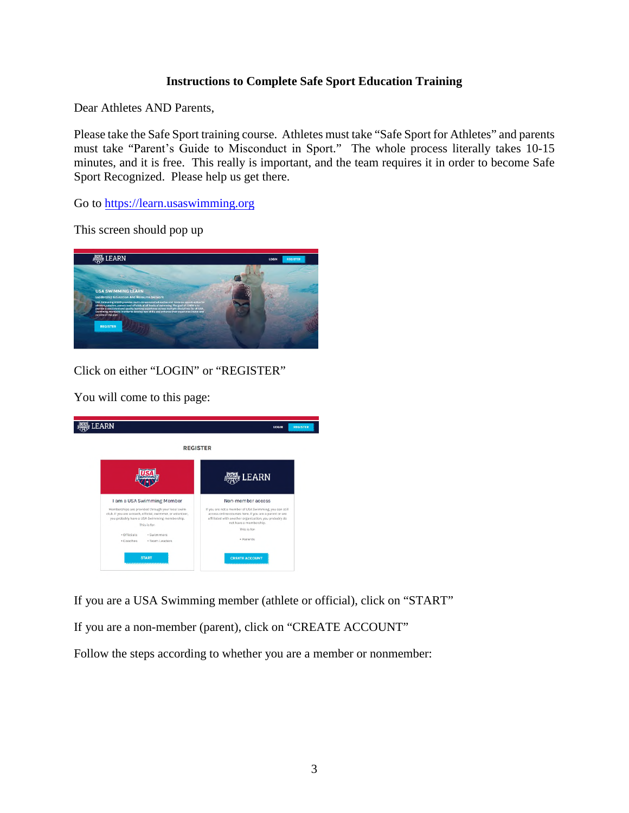## **Instructions to Complete Safe Sport Education Training**

Dear Athletes AND Parents,

Please take the Safe Sport training course. Athletes must take "Safe Sport for Athletes" and parents must take "Parent's Guide to Misconduct in Sport." The whole process literally takes 10-15 minutes, and it is free. This really is important, and the team requires it in order to become Safe Sport Recognized. Please help us get there.

Go to [https://learn.usaswimming.org](https://learn.usaswimming.org/)

This screen should pop up



Click on either "LOGIN" or "REGISTER"

You will come to this page:



If you are a USA Swimming member (athlete or official), click on "START" If you are a non-member (parent), click on "CREATE ACCOUNT" Follow the steps according to whether you are a member or nonmember: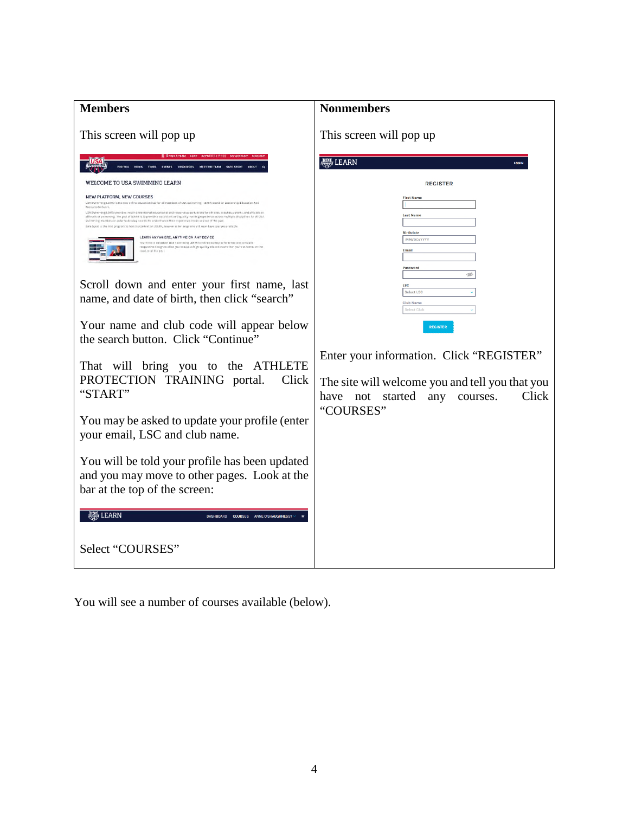| <b>Members</b>                                                                                                                                                                                                                                                                                                                                                                                                                                                                                                                                                                                                                                                                            | <b>Nonmembers</b>                                                                                                                        |
|-------------------------------------------------------------------------------------------------------------------------------------------------------------------------------------------------------------------------------------------------------------------------------------------------------------------------------------------------------------------------------------------------------------------------------------------------------------------------------------------------------------------------------------------------------------------------------------------------------------------------------------------------------------------------------------------|------------------------------------------------------------------------------------------------------------------------------------------|
| This screen will pop up                                                                                                                                                                                                                                                                                                                                                                                                                                                                                                                                                                                                                                                                   | This screen will pop up                                                                                                                  |
| NEET THE TEAM<br>SAIL SHORT                                                                                                                                                                                                                                                                                                                                                                                                                                                                                                                                                                                                                                                               | <b>LEARN</b><br>LOCIN                                                                                                                    |
| WELCOME TO USA SWIMMING LEARN                                                                                                                                                                                                                                                                                                                                                                                                                                                                                                                                                                                                                                                             | <b>REGISTER</b>                                                                                                                          |
| NEW PLATFORM, NEW COURSES<br>USA Swimming LEARN is the new online aducation hub for all members of USA Swimming! LEARN stend for Leadership Educ<br>Recovera Network<br>USA Swimming LEATN prevides must committed educational and resource spportunities for ashlates, exactes, parents, and officials at<br>all levels of swimming. The goal of LEARN is to provide a covariated and quality learning experience across invitige electrolive for all USA<br>Swimming members in order to develop new Mills and enhance their experience inside and not of the port-<br>Sale Sport in the first program to toot Hx content on ULANK, however other programs will soon have courses avail | <b>First Name</b><br><b>Last Name</b>                                                                                                    |
| LEARN ANYWHERE, ANYTIME ON ANY DEVICE<br>"Nor fillin is valuable. USA the immune LEARN's colline course platform features a mobile<br>responsive design to allow you to access high-quality education shorter you're at home, on the<br>road, or at the post.                                                                                                                                                                                                                                                                                                                                                                                                                             | <b>Birthdate</b><br>MM/DD/YYYY<br>Email<br>Password                                                                                      |
| Scroll down and enter your first name, last<br>name, and date of birth, then click "search"                                                                                                                                                                                                                                                                                                                                                                                                                                                                                                                                                                                               | ø<br><b>LSC</b><br>Select LSC<br>Club Name<br>Select Club                                                                                |
| Your name and club code will appear below<br>the search button. Click "Continue"                                                                                                                                                                                                                                                                                                                                                                                                                                                                                                                                                                                                          | <b>REGISTER</b>                                                                                                                          |
| That will bring you to the ATHLETE<br>PROTECTION TRAINING portal.<br>Click<br>"START"                                                                                                                                                                                                                                                                                                                                                                                                                                                                                                                                                                                                     | Enter your information. Click "REGISTER"<br>The site will welcome you and tell you that you<br>have not started any<br>Click<br>courses. |
| You may be asked to update your profile (enter<br>your email, LSC and club name.                                                                                                                                                                                                                                                                                                                                                                                                                                                                                                                                                                                                          | "COURSES"                                                                                                                                |
| You will be told your profile has been updated<br>and you may move to other pages. Look at the<br>bar at the top of the screen:                                                                                                                                                                                                                                                                                                                                                                                                                                                                                                                                                           |                                                                                                                                          |
| <del>熙</del> LEARN<br>COURSES ANNE O'SHAUGHNESSY<br><b>DASHROARD</b>                                                                                                                                                                                                                                                                                                                                                                                                                                                                                                                                                                                                                      |                                                                                                                                          |
| Select "COURSES"                                                                                                                                                                                                                                                                                                                                                                                                                                                                                                                                                                                                                                                                          |                                                                                                                                          |

You will see a number of courses available (below).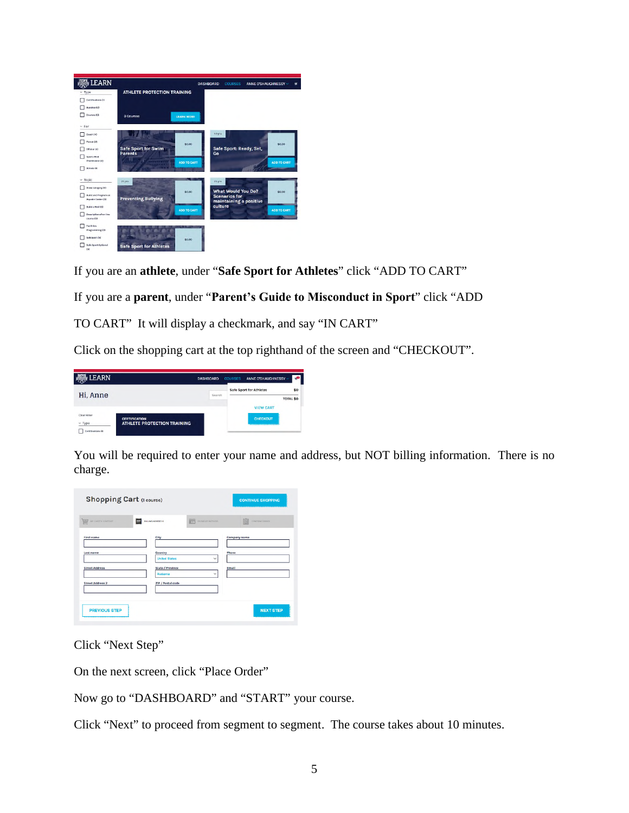| <b>DEARN</b>                                      |                                      | <b>DASHBOARD</b> | <b>COURSES</b>                                 | ANNE O'SHAUGHNESSY - |                    | w |
|---------------------------------------------------|--------------------------------------|------------------|------------------------------------------------|----------------------|--------------------|---|
| $~\vee$ Type                                      | <b>ATHLETE PROTECTION TRAINING</b>   |                  |                                                |                      |                    |   |
| Certifications (1)                                |                                      |                  |                                                |                      |                    |   |
| Bundles (Q)                                       |                                      |                  |                                                |                      |                    |   |
| <b>Courses ISI</b>                                | 3 Courses<br><b>LEARN MORE</b>       |                  |                                                |                      |                    |   |
| $~\vee$ For                                       |                                      |                  |                                                |                      |                    |   |
| Counh (4)                                         |                                      | SO pts           |                                                |                      |                    |   |
| Parent (2)                                        | \$0.00                               |                  |                                                |                      | \$0.00             |   |
| Difficial IAI                                     | Safe Sport for Swim                  |                  | Safe Sport: Ready, Set,                        |                      |                    |   |
| <b>Sperts Mad</b><br>Practitionar (0)             | <b>Parents</b><br><b>ADD TO CART</b> | Go               |                                                |                      | <b>ADD TO CART</b> |   |
| <b>Atliene DI</b>                                 |                                      |                  |                                                |                      |                    |   |
| $-$ Topic                                         | 2500                                 | 25 pts           |                                                |                      |                    |   |
| Anew category (0)                                 |                                      |                  | <b>What Would You Do?</b>                      |                      |                    |   |
| Build and Program an<br><b>Aquatic Center (0)</b> | \$0.00<br><b>Preventing Bullying</b> |                  | <b>Scenarios for</b><br>maintaining a positive |                      | \$0.00             |   |
| Build a Paul (0)                                  | <b>ADD TO CART</b>                   | culture          |                                                |                      | <b>ADD TO CART</b> |   |
| Description of go line<br>course (d)              |                                      |                  |                                                |                      |                    |   |
| Fasilities<br>Programming (0)                     |                                      |                  |                                                |                      |                    |   |
| SalsSport (8)                                     | \$0.00                               |                  |                                                |                      |                    |   |
| Sale Sport Optional<br>END                        | <b>Safe Sport for Athletes</b>       |                  |                                                |                      |                    |   |

If you are an **athlete**, under "**Safe Sport for Athletes**" click "ADD TO CART"

If you are a **parent**, under "**Parent's Guide to Misconduct in Sport**" click "ADD

TO CART" It will display a checkmark, and say "IN CART"

Click on the shopping cart at the top righthand of the screen and "CHECKOUT".

| <b>AND LEARN</b>            |                                                            | <b>DASHBOARD</b> | <b>COURSES</b> | ANNE O'SHAUGHNESSY ~    | ÷,               |
|-----------------------------|------------------------------------------------------------|------------------|----------------|-------------------------|------------------|
| Hi, Anne                    |                                                            | Search           |                | Safe Sport for Athletes | \$0              |
|                             |                                                            |                  |                |                         | <b>TOTAL \$0</b> |
|                             |                                                            |                  |                | <b>VIEW CART</b>        |                  |
| Ciner Filter<br>$\vee$ Type | <b>CERTIFICATION</b><br><b>ATHLETE PROTECTION TRAINING</b> |                  |                | <b>CHECKOUT</b>         |                  |
| Certifications (1)          |                                                            |                  |                |                         |                  |

You will be required to enter your name and address, but NOT billing information. There is no charge.

| <b>WWW</b> WY CART'S CONTRAT | <b>RELING ADDRESS</b>              | 祘<br><b>VATISEAT METHOD</b> | 眉<br><b>CONFIDENT CARDS</b> |
|------------------------------|------------------------------------|-----------------------------|-----------------------------|
| First name                   | City                               |                             | Company name                |
| Last name                    | Country<br><b>United States</b>    | $\checkmark$                | Phone                       |
| <b>Street Address</b>        | <b>State / Province</b><br>Atabama | $\checkmark$                | Email                       |
| <b>Street Address 2</b>      | <b>ZIP / Postal code</b>           |                             |                             |

Click "Next Step"

On the next screen, click "Place Order"

Now go to "DASHBOARD" and "START" your course.

Click "Next" to proceed from segment to segment. The course takes about 10 minutes.